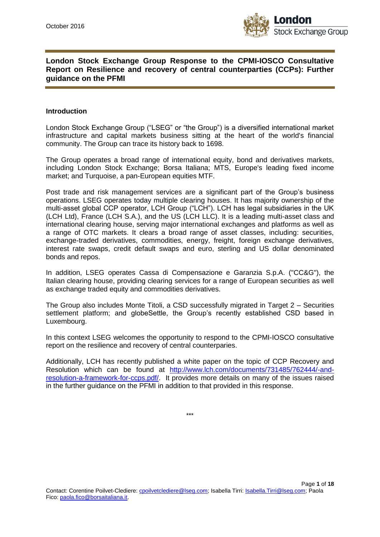

# **London Stock Exchange Group Response to the CPMI-IOSCO Consultative Report on Resilience and recovery of central counterparties (CCPs): Further guidance on the PFMI**

## **Introduction**

London Stock Exchange Group ("LSEG" or "the Group") is a diversified international market infrastructure and capital markets business sitting at the heart of the world's financial community. The Group can trace its history back to 1698.

The Group operates a broad range of international equity, bond and derivatives markets, including London Stock Exchange; Borsa Italiana; MTS, Europe's leading fixed income market; and Turquoise, a pan-European equities MTF.

Post trade and risk management services are a significant part of the Group's business operations. LSEG operates today multiple clearing houses. It has majority ownership of the multi-asset global CCP operator, LCH Group ("LCH"). LCH has legal subsidiaries in the UK (LCH Ltd), France (LCH S.A.), and the US (LCH LLC). It is a leading multi-asset class and international clearing house, serving major international exchanges and platforms as well as a range of OTC markets. It clears a broad range of asset classes, including: securities, exchange-traded derivatives, commodities, energy, freight, foreign exchange derivatives, interest rate swaps, credit default swaps and euro, sterling and US dollar denominated bonds and repos.

In addition, LSEG operates Cassa di Compensazione e Garanzia S.p.A. ("CC&G"), the Italian clearing house, providing clearing services for a range of European securities as well as exchange traded equity and commodities derivatives.

The Group also includes Monte Titoli, a CSD successfully migrated in Target 2 – Securities settlement platform; and globeSettle, the Group's recently established CSD based in Luxembourg.

In this context LSEG welcomes the opportunity to respond to the CPMI-IOSCO consultative report on the resilience and recovery of central counterparies.

Additionally, LCH has recently published a white paper on the topic of CCP Recovery and Resolution which can be found at [http://www.lch.com/documents/731485/762444/-and](http://www.lch.com/documents/731485/762444/-and-resolution-a-framework-for-ccps.pdf/)[resolution-a-framework-for-ccps.pdf/.](http://www.lch.com/documents/731485/762444/-and-resolution-a-framework-for-ccps.pdf/) It provides more details on many of the issues raised in the further guidance on the PFMI in addition to that provided in this response.

\*\*\*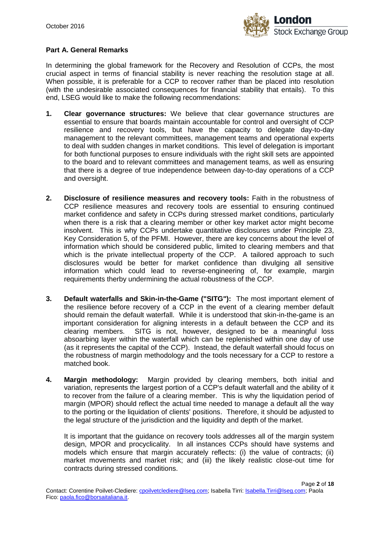

# **Part A. General Remarks**

In determining the global framework for the Recovery and Resolution of CCPs, the most crucial aspect in terms of financial stability is never reaching the resolution stage at all. When possible, it is preferable for a CCP to recover rather than be placed into resolution (with the undesirable associated consequences for financial stability that entails). To this end, LSEG would like to make the following recommendations:

- **1. Clear governance structures:** We believe that clear governance structures are essential to ensure that boards maintain accountable for control and oversight of CCP resilience and recovery tools, but have the capacity to delegate day-to-day management to the relevant committees, management teams and operational experts to deal with sudden changes in market conditions. This level of delegation is important for both functional purposes to ensure individuals with the right skill sets are appointed to the board and to relevant committees and management teams, as well as ensuring that there is a degree of true independence between day-to-day operations of a CCP and oversight.
- **2. Disclosure of resilience measures and recovery tools:** Faith in the robustness of CCP resilience measures and recovery tools are essential to ensuring continued market confidence and safety in CCPs during stressed market conditions, particularly when there is a risk that a clearing member or other key market actor might become insolvent. This is why CCPs undertake quantitative disclosures under Principle 23, Key Consideration 5, of the PFMI. However, there are key concerns about the level of information which should be considered public, limited to clearing members and that which is the private intellectual property of the CCP. A tailored approach to such disclosures would be better for market confidence than divulging all sensitive information which could lead to reverse-engineering of, for example, margin requirements therby undermining the actual robustness of the CCP.
- **3. Default waterfalls and Skin-in-the-Game ("SITG"):** The most important element of the resilience before recovery of a CCP in the event of a clearing member default should remain the default waterfall. While it is understood that skin-in-the-game is an important consideration for aligning interests in a default between the CCP and its clearing members. SITG is not, however, designed to be a meaningful loss absoarbing layer within the waterfall which can be replenished within one day of use (as it represents the capital of the CCP). Instead, the default waterfall should focus on the robustness of margin methodology and the tools necessary for a CCP to restore a matched book.
- **4. Margin methodology:** Margin provided by clearing members, both initial and variation, represents the largest portion of a CCP's default waterfall and the ability of it to recover from the failure of a clearing member. This is why the liquidation period of margin (MPOR) should reflect the actual time needed to manage a default all the way to the porting or the liquidation of clients' positions. Therefore, it should be adjusted to the legal structure of the jurisdiction and the liquidity and depth of the market.

It is important that the guidance on recovery tools addresses all of the margin system design, MPOR and procyclicality. In all instances CCPs should have systems and models which ensure that margin accurately reflects: (i) the value of contracts; (ii) market movements and market risk; and (iii) the likely realistic close-out time for contracts during stressed conditions.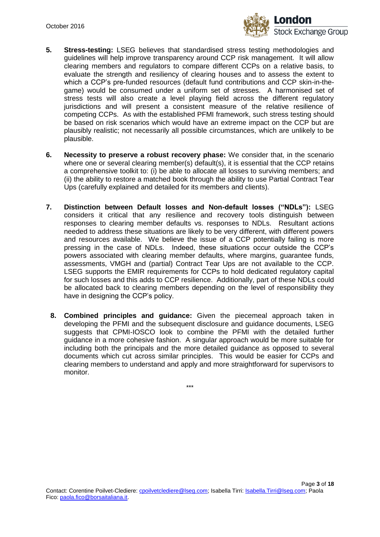

- **5. Stress-testing:** LSEG believes that standardised stress testing methodologies and guidelines will help improve transparency around CCP risk management. It will allow clearing members and regulators to compare different CCPs on a relative basis, to evaluate the strength and resiliency of clearing houses and to assess the extent to which a CCP's pre-funded resources (default fund contributions and CCP skin-in-thegame) would be consumed under a uniform set of stresses. A harmonised set of stress tests will also create a level playing field across the different regulatory jurisdictions and will present a consistent measure of the relative resilience of competing CCPs. As with the established PFMI framework, such stress testing should be based on risk scenarios which would have an extreme impact on the CCP but are plausibly realistic; not necessarily all possible circumstances, which are unlikely to be plausible.
- **6. Necessity to preserve a robust recovery phase:** We consider that, in the scenario where one or several clearing member(s) default(s), it is essential that the CCP retains a comprehensive toolkit to: (i) be able to allocate all losses to surviving members; and (ii) the ability to restore a matched book through the ability to use Partial Contract Tear Ups (carefully explained and detailed for its members and clients).
- **7. Distinction between Default losses and Non-default losses ("NDLs"):** LSEG considers it critical that any resilience and recovery tools distinguish between responses to clearing member defaults vs. responses to NDLs. Resultant actions needed to address these situations are likely to be very different, with different powers and resources available. We believe the issue of a CCP potentially failing is more pressing in the case of NDLs. Indeed, these situations occur outside the CCP's powers associated with clearing member defaults, where margins, guarantee funds, assessments, VMGH and (partial) Contract Tear Ups are not available to the CCP. LSEG supports the EMIR requirements for CCPs to hold dedicated regulatory capital for such losses and this adds to CCP resilience. Additionally, part of these NDLs could be allocated back to clearing members depending on the level of responsibility they have in designing the CCP's policy.
	- **8. Combined principles and guidance:** Given the piecemeal approach taken in developing the PFMI and the subsequent disclosure and guidance documents, LSEG suggests that CPMI-IOSCO look to combine the PFMI with the detailed further guidance in a more cohesive fashion. A singular approach would be more suitable for including both the principals and the more detailed guidance as opposed to several documents which cut across similar principles. This would be easier for CCPs and clearing members to understand and apply and more straightforward for supervisors to monitor.

\*\*\*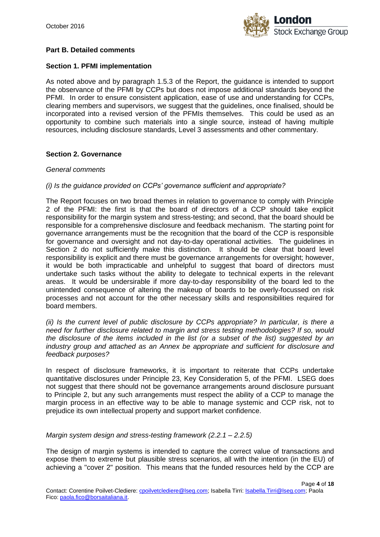

# **Part B. Detailed comments**

## **Section 1. PFMI implementation**

As noted above and by paragraph 1.5.3 of the Report, the guidance is intended to support the observance of the PFMI by CCPs but does not impose additional standards beyond the PFMI. In order to ensure consistent application, ease of use and understanding for CCPs, clearing members and supervisors, we suggest that the guidelines, once finalised, should be incorporated into a revised version of the PFMIs themselves. This could be used as an opportunity to combine such materials into a single source, instead of having multiple resources, including disclosure standards, Level 3 assessments and other commentary.

## **Section 2. Governance**

## *General comments*

## *(i) Is the guidance provided on CCPs' governance sufficient and appropriate?*

The Report focuses on two broad themes in relation to governance to comply with Principle 2 of the PFMI: the first is that the board of directors of a CCP should take explicit responsibility for the margin system and stress-testing; and second, that the board should be responsible for a comprehensive disclosure and feedback mechanism. The starting point for governance arrangements must be the recognition that the board of the CCP is responsible for governance and oversight and not day-to-day operational activities. The guidelines in Section 2 do not sufficiently make this distinction. It should be clear that board level responsibility is explicit and there must be governance arrangements for oversight; however, it would be both impracticable and unhelpful to suggest that board of directors must undertake such tasks without the ability to delegate to technical experts in the relevant areas. It would be undersirable if more day-to-day responsibility of the board led to the unintended consequence of altering the makeup of boards to be overly-focussed on risk processes and not account for the other necessary skills and responsibilities required for board members.

*(ii) Is the current level of public disclosure by CCPs appropriate? In particular, is there a need for further disclosure related to margin and stress testing methodologies? If so, would the disclosure of the items included in the list (or a subset of the list) suggested by an industry group and attached as an Annex be appropriate and sufficient for disclosure and feedback purposes?*

In respect of disclosure frameworks, it is important to reiterate that CCPs undertake quantitative disclosures under Principle 23, Key Consideration 5, of the PFMI. LSEG does not suggest that there should not be governance arrangements around disclosure pursuant to Principle 2, but any such arrangements must respect the ability of a CCP to manage the margin process in an effective way to be able to manage systemic and CCP risk, not to prejudice its own intellectual property and support market confidence.

### *Margin system design and stress-testing framework (2.2.1 – 2.2.5)*

The design of margin systems is intended to capture the correct value of transactions and expose them to extreme but plausible stress scenarios, all with the intention (in the EU) of achieving a "cover 2" position. This means that the funded resources held by the CCP are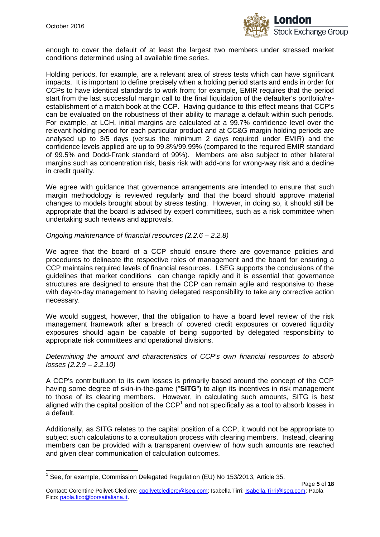-



Page **5** of **18**

enough to cover the default of at least the largest two members under stressed market conditions determined using all available time series.

Holding periods, for example, are a relevant area of stress tests which can have significant impacts. It is important to define precisely when a holding period starts and ends in order for CCPs to have identical standards to work from; for example, EMIR requires that the period start from the last successful margin call to the final liquidation of the defaulter's portfolio/reestablishment of a match book at the CCP. Having guidance to this effect means that CCP's can be evaluated on the robustness of their ability to manage a default within such periods. For example, at LCH, initial margins are calculated at a 99.7% confidence level over the relevant holding period for each particular product and at CC&G margin holding periods are analysed up to 3/5 days (versus the minimum 2 days required under EMIR) and the confidence levels applied are up to 99.8%/99.99% (compared to the required EMIR standard of 99.5% and Dodd-Frank standard of 99%). Members are also subject to other bilateral margins such as concentration risk, basis risk with add-ons for wrong-way risk and a decline in credit quality.

We agree with guidance that governance arrangements are intended to ensure that such margin methodology is reviewed regularly and that the board should approve material changes to models brought about by stress testing. However, in doing so, it should still be appropriate that the board is advised by expert committees, such as a risk committee when undertaking such reviews and approvals.

## *Ongoing maintenance of financial resources (2.2.6 – 2.2.8)*

We agree that the board of a CCP should ensure there are governance policies and procedures to delineate the respective roles of management and the board for ensuring a CCP maintains required levels of financial resources. LSEG supports the conclusions of the guidelines that market conditions can change rapidly and it is essential that governance structures are designed to ensure that the CCP can remain agile and responsive to these with day-to-day management to having delegated responsibility to take any corrective action necessary.

We would suggest, however, that the obligation to have a board level review of the risk management framework after a breach of covered credit exposures or covered liquidity exposures should again be capable of being supported by delegated responsibility to appropriate risk committees and operational divisions.

## *Determining the amount and characteristics of CCP's own financial resources to absorb losses (2.2.9 – 2.2.10)*

A CCP's contributiuon to its own losses is primarily based around the concept of the CCP having some degree of skin-in-the-game ("**SITG**") to align its incentives in risk management to those of its clearing members. However, in calculating such amounts, SITG is best aligned with the capital position of the  $\text{CCP}^1$  and not specifically as a tool to absorb losses in a default.

Additionally, as SITG relates to the capital position of a CCP, it would not be appropriate to subject such calculations to a consultation process with clearing members. Instead, clearing members can be provided with a transparent overview of how such amounts are reached and given clear communication of calculation outcomes.

<sup>&</sup>lt;sup>1</sup> See, for example, Commission Delegated Regulation (EU) No 153/2013, Article 35.

Contact: Corentine Poilvet-Clediere: cpoilvetclediere@lseg.com; Isabella Tirri: Isabella.Tirri@lseg.com; Paola Fico: paola.fico@borsaitaliana.it.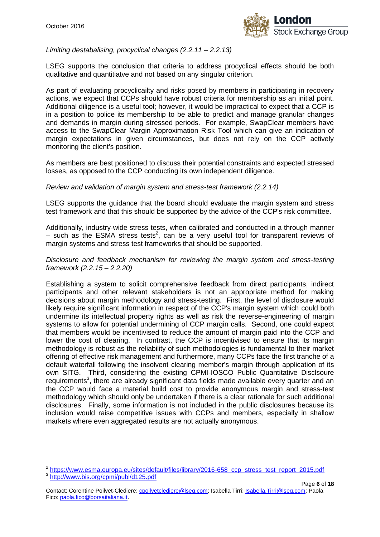

Page **6** of **18**

*Limiting destabalising, procyclical changes (2.2.11 – 2.2.13)*

LSEG supports the conclusion that criteria to address procyclical effects should be both qualitative and quantitiatve and not based on any singular criterion.

As part of evaluating procyclicailty and risks posed by members in participating in recovery actions, we expect that CCPs should have robust criteria for membership as an initial point. Additional diligence is a useful tool; however, it would be impractical to expect that a CCP is in a position to police its membership to be able to predict and manage granular changes and demands in margin during stressed periods. For example, SwapClear members have access to the SwapClear Margin Approximation Risk Tool which can give an indication of margin expectations in given circumstances, but does not rely on the CCP actively monitoring the client's position.

As members are best positioned to discuss their potential constraints and expected stressed losses, as opposed to the CCP conducting its own independent diligence.

### *Review and validation of margin system and stress-test framework (2.2.14)*

LSEG supports the guidance that the board should evaluate the margin system and stress test framework and that this should be supported by the advice of the CCP's risk committee.

Additionally, industry-wide stress tests, when calibrated and conducted in a through manner  $-$  such as the ESMA stress tests<sup>2</sup>, can be a very useful tool for transparent reviews of margin systems and stress test frameworks that should be supported.

## *Disclosure and feedback mechanism for reviewing the margin system and stress-testing framework (2.2.15 – 2.2.20)*

Establishing a system to solicit comprehensive feedback from direct participants, indirect participants and other relevant stakeholders is not an appropriate method for making decisions about margin methodology and stress-testing. First, the level of disclosure would likely require significant information in respect of the CCP's margin system which could both undermine its intellectual property rights as well as risk the reverse-engineering of margin systems to allow for potential undermining of CCP margin calls. Second, one could expect that members would be incentivised to reduce the amount of margin paid into the CCP and lower the cost of clearing. In contrast, the CCP is incentivised to ensure that its margin methodology is robust as the reliability of such methodologies is fundamental to their market offering of effective risk management and furthermore, many CCPs face the first tranche of a default waterfall following the insolvent clearing member's margin through application of its own SITG. Third, considering the existing CPMI-IOSCO Public Quantitative Disclsoure requirements<sup>3</sup>, there are already significant data fields made available every quarter and an the CCP would face a material build cost to provide anonymous margin and stress-test methodology which should only be undertaken if there is a clear rationale for such additional disclosures. Finally, some information is not included in the public disclosures because its inclusion would raise competitive issues with CCPs and members, especially in shallow markets where even aggregated results are not actually anonymous.

<sup>2&</sup>lt;br><sup>2</sup> [https://www.esma.europa.eu/sites/default/files/library/2016-658\\_ccp\\_stress\\_test\\_report\\_2015.pdf](https://www.esma.europa.eu/sites/default/files/library/2016-658_ccp_stress_test_report_2015.pdf)<br><sup>3</sup> <http://www.bis.org/cpmi/publ/d125.pdf>

Contact: Corentine Poilvet-Clediere: cpoilvetclediere@lseg.com; Isabella Tirri: Isabella.Tirri@lseg.com; Paola Fico: paola.fico@borsaitaliana.it.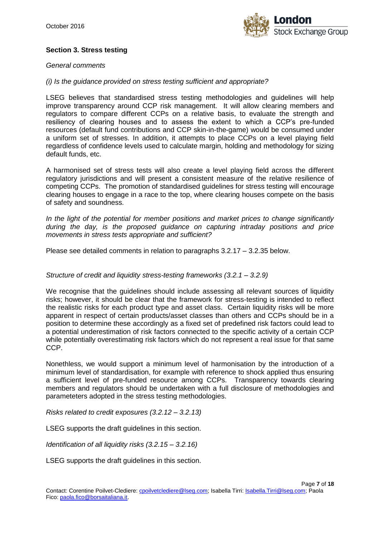

# **Section 3. Stress testing**

### *General comments*

## *(i) Is the guidance provided on stress testing sufficient and appropriate?*

LSEG believes that standardised stress testing methodologies and guidelines will help improve transparency around CCP risk management. It will allow clearing members and regulators to compare different CCPs on a relative basis, to evaluate the strength and resiliency of clearing houses and to assess the extent to which a CCP's pre-funded resources (default fund contributions and CCP skin-in-the-game) would be consumed under a uniform set of stresses. In addition, it attempts to place CCPs on a level playing field regardless of confidence levels used to calculate margin, holding and methodology for sizing default funds, etc.

A harmonised set of stress tests will also create a level playing field across the different regulatory jurisdictions and will present a consistent measure of the relative resilience of competing CCPs. The promotion of standardised guidelines for stress testing will encourage clearing houses to engage in a race to the top, where clearing houses compete on the basis of safety and soundness.

*In the light of the potential for member positions and market prices to change significantly during the day, is the proposed guidance on capturing intraday positions and price movements in stress tests appropriate and sufficient?*

Please see detailed comments in relation to paragraphs 3.2.17 – 3.2.35 below.

# *Structure of credit and liquidity stress-testing frameworks (3.2.1 – 3.2.9)*

We recognise that the guidelines should include assessing all relevant sources of liquidity risks; however, it should be clear that the framework for stress-testing is intended to reflect the realistic risks for each product type and asset class. Certain liquidity risks will be more apparent in respect of certain products/asset classes than others and CCPs should be in a position to determine these accordingly as a fixed set of predefined risk factors could lead to a potential underestimation of risk factors connected to the specific activity of a certain CCP while potentially overestimating risk factors which do not represent a real issue for that same CCP.

Nonethless, we would support a minimum level of harmonisation by the introduction of a minimum level of standardisation, for example with reference to shock applied thus ensuring a sufficient level of pre-funded resource among CCPs. Transparency towards clearing members and regulators should be undertaken with a full disclosure of methodologies and parameteters adopted in the stress testing methodologies.

*Risks related to credit exposures (3.2.12 – 3.2.13)*

LSEG supports the draft guidelines in this section.

*Identification of all liquidity risks (3.2.15 – 3.2.16)*

LSEG supports the draft guidelines in this section.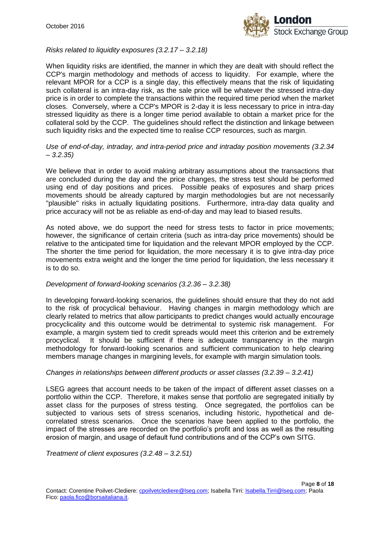

### *Risks related to liquidity exposures (3.2.17 – 3.2.18)*

When liquidity risks are identified, the manner in which they are dealt with should reflect the CCP's margin methodology and methods of access to liquidity. For example, where the relevant MPOR for a CCP is a single day, this effectively means that the risk of liquidating such collateral is an intra-day risk, as the sale price will be whatever the stressed intra-day price is in order to complete the transactions within the required time period when the market closes. Conversely, where a CCP's MPOR is 2-day it is less necessary to price in intra-day stressed liquidity as there is a longer time period available to obtain a market price for the collateral sold by the CCP. The guidelines should reflect the distinction and linkage between such liquidity risks and the expected time to realise CCP resources, such as margin.

## *Use of end-of-day, intraday, and intra-period price and intraday position movements (3.2.34 – 3.2.35)*

We believe that in order to avoid making arbitrary assumptions about the transactions that are concluded during the day and the price changes, the stress test should be performed using end of day positions and prices. Possible peaks of exposures and sharp prices movements should be already captured by margin methodologies but are not necessarily "plausible" risks in actually liquidating positions. Furthermore, intra-day data quality and price accuracy will not be as reliable as end-of-day and may lead to biased results.

As noted above, we do support the need for stress tests to factor in price movements; however, the significance of certain criteria (such as intra-day price movements) should be relative to the anticipated time for liquidation and the relevant MPOR employed by the CCP. The shorter the time period for liquidation, the more necessary it is to give intra-day price movements extra weight and the longer the time period for liquidation, the less necessary it is to do so.

# *Development of forward-looking scenarios (3.2.36 – 3.2.38)*

In developing forward-looking scenarios, the guidelines should ensure that they do not add to the risk of procyclical behaviour. Having changes in margin methodology which are clearly related to metrics that allow participants to predict changes would actually encourage procyclicality and this outcome would be detrimental to systemic risk management. For example, a margin system tied to credit spreads would meet this criterion and be extremely procyclical. It should be sufficient if there is adequate transparency in the margin methodology for forward-looking scenarios and sufficient communication to help clearing members manage changes in margining levels, for example with margin simulation tools.

## *Changes in relationships between different products or asset classes (3.2.39 – 3.2.41)*

LSEG agrees that account needs to be taken of the impact of different asset classes on a portfolio within the CCP. Therefore, it makes sense that portfolio are segregated initially by asset class for the purposes of stress testing. Once segregated, the portfolios can be subjected to various sets of stress scenarios, including historic, hypothetical and decorrelated stress scenarios. Once the scenarios have been applied to the portfolio, the impact of the stresses are recorded on the portfolio's profit and loss as well as the resulting erosion of margin, and usage of default fund contributions and of the CCP's own SITG.

*Treatment of client exposures (3.2.48 – 3.2.51)*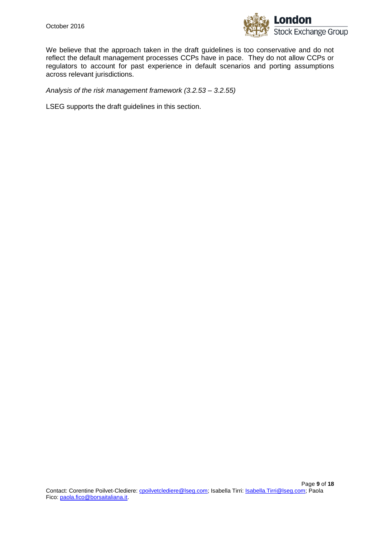

We believe that the approach taken in the draft guidelines is too conservative and do not reflect the default management processes CCPs have in pace. They do not allow CCPs or regulators to account for past experience in default scenarios and porting assumptions across relevant jurisdictions.

*Analysis of the risk management framework (3.2.53 – 3.2.55)*

LSEG supports the draft guidelines in this section.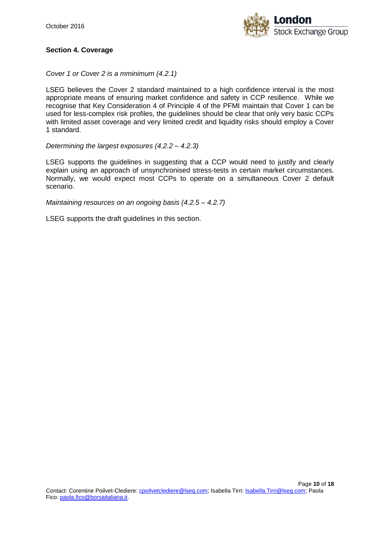

# **Section 4. Coverage**

# *Cover 1 or Cover 2 is a mminimum (4.2.1)*

LSEG believes the Cover 2 standard maintained to a high confidence interval is the most appropriate means of ensuring market confidence and safety in CCP resilience. While we recognise that Key Consideration 4 of Principle 4 of the PFMI maintain that Cover 1 can be used for less-complex risk profiles, the guidelines should be clear that only very basic CCPs with limited asset coverage and very limited credit and liquidity risks should employ a Cover 1 standard.

## *Determining the largest exposures (4.2.2 – 4.2.3)*

LSEG supports the guidelines in suggesting that a CCP would need to justify and clearly explain using an approach of unsynchronised stress-tests in certain market circumstances. Normally, we would expect most CCPs to operate on a simultaneous Cover 2 default scenario.

*Maintaining resources on an ongoing basis (4.2.5 – 4.2.7)*

LSEG supports the draft guidelines in this section.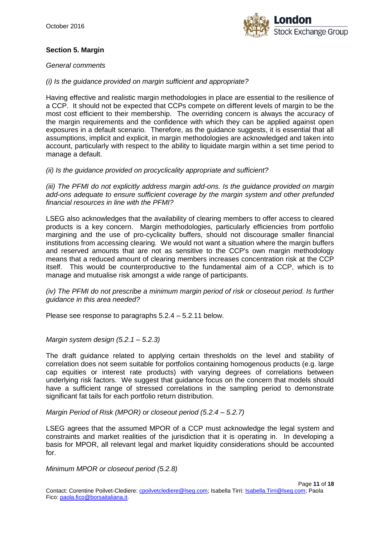

# **Section 5. Margin**

## *General comments*

## *(i) Is the guidance provided on margin sufficient and appropriate?*

Having effective and realistic margin methodologies in place are essential to the resilience of a CCP. It should not be expected that CCPs compete on different levels of margin to be the most cost efficient to their membership. The overriding concern is always the accuracy of the margin requirements and the confidence with which they can be applied against open exposures in a default scenario. Therefore, as the guidance suggests, it is essential that all assumptions, implicit and explicit, in margin methodologies are acknowledged and taken into account, particularly with respect to the ability to liquidate margin within a set time period to manage a default.

## *(ii) Is the guidance provided on procyclicality appropriate and sufficient?*

*(iii) The PFMI do not explicitly address margin add-ons. Is the guidance provided on margin add-ons adequate to ensure sufficient coverage by the margin system and other prefunded financial resources in line with the PFMI?*

LSEG also acknowledges that the availability of clearing members to offer access to cleared products is a key concern. Margin methodologies, particularly efficiencies from portfolio margining and the use of pro-cyclicality buffers, should not discourage smaller financial institutions from accessing clearing. We would not want a situation where the margin buffers and reserved amounts that are not as sensitive to the CCP's own margin methodology means that a reduced amount of clearing members increases concentration risk at the CCP itself. This would be counterproductive to the fundamental aim of a CCP, which is to manage and mutualise risk amongst a wide range of participants.

*(iv)* The PFMI do not prescribe a minimum margin period of risk or closeout period. Is further *guidance in this area needed?*

Please see response to paragraphs 5.2.4 – 5.2.11 below.

### *Margin system design (5.2.1 – 5.2.3)*

The draft guidance related to applying certain thresholds on the level and stability of correlation does not seem suitable for portfolios containing homogenous products (e.g. large cap equities or interest rate products) with varying degrees of correlations between underlying risk factors. We suggest that guidance focus on the concern that models should have a sufficient range of stressed correlations in the sampling period to demonstrate significant fat tails for each portfolio return distribution.

*Margin Period of Risk (MPOR) or closeout period (5.2.4 – 5.2.7)*

LSEG agrees that the assumed MPOR of a CCP must acknowledge the legal system and constraints and market realities of the jurisdiction that it is operating in. In developing a basis for MPOR, all relevant legal and market liquidity considerations should be accounted for.

### *Minimum MPOR or closeout period (5.2.8)*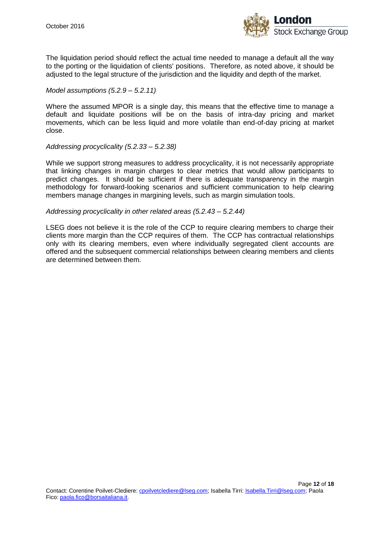

The liquidation period should reflect the actual time needed to manage a default all the way to the porting or the liquidation of clients' positions. Therefore, as noted above, it should be adjusted to the legal structure of the jurisdiction and the liquidity and depth of the market.

## *Model assumptions (5.2.9 – 5.2.11)*

Where the assumed MPOR is a single day, this means that the effective time to manage a default and liquidate positions will be on the basis of intra-day pricing and market movements, which can be less liquid and more volatile than end-of-day pricing at market close.

### *Addressing procyclicality (5.2.33 – 5.2.38)*

While we support strong measures to address procyclicality, it is not necessarily appropriate that linking changes in margin charges to clear metrics that would allow participants to predict changes. It should be sufficient if there is adequate transparency in the margin methodology for forward-looking scenarios and sufficient communication to help clearing members manage changes in margining levels, such as margin simulation tools.

## *Addressing procyclicality in other related areas (5.2.43 – 5.2.44)*

LSEG does not believe it is the role of the CCP to require clearing members to charge their clients more margin than the CCP requires of them. The CCP has contractual relationships only with its clearing members, even where individually segregated client accounts are offered and the subsequent commercial relationships between clearing members and clients are determined between them.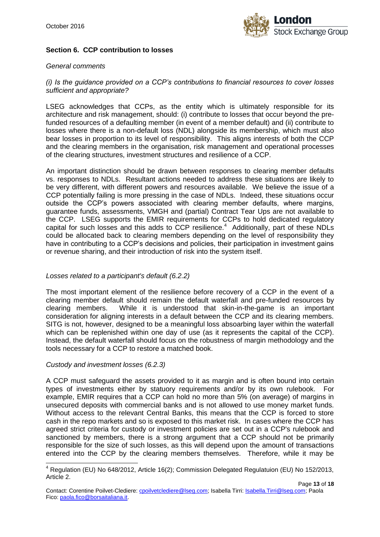

# **Section 6. CCP contribution to losses**

## *General comments*

# *(i) Is the guidance provided on a CCP's contributions to financial resources to cover losses sufficient and appropriate?*

LSEG acknowledges that CCPs, as the entity which is ultimately responsible for its architecture and risk management, should: (i) contribute to losses that occur beyond the prefunded resources of a defaulting member (in event of a member default) and (ii) contribute to losses where there is a non-default loss (NDL) alongside its membership, which must also bear losses in proportion to its level of responsibility. This aligns interests of both the CCP and the clearing members in the organisation, risk management and operational processes of the clearing structures, investment structures and resilience of a CCP.

An important distinction should be drawn between responses to clearing member defaults vs. responses to NDLs. Resultant actions needed to address these situations are likely to be very different, with different powers and resources available. We believe the issue of a CCP potentially failing is more pressing in the case of NDLs. Indeed, these situations occur outside the CCP's powers associated with clearing member defaults, where margins, guarantee funds, assessments, VMGH and (partial) Contract Tear Ups are not available to the CCP. LSEG supports the EMIR requirements for CCPs to hold dedicated regulatory capital for such losses and this adds to CCP resilience.<sup>4</sup> Additionally, part of these NDLs could be allocated back to clearing members depending on the level of responsibility they have in contributing to a CCP's decisions and policies, their participation in investment gains or revenue sharing, and their introduction of risk into the system itself.

### *Losses related to a participant's default (6.2.2)*

The most important element of the resilience before recovery of a CCP in the event of a clearing member default should remain the default waterfall and pre-funded resources by clearing members. While it is understood that skin-in-the-game is an important consideration for aligning interests in a default between the CCP and its clearing members. SITG is not, however, designed to be a meaningful loss absoarbing layer within the waterfall which can be replenished within one day of use (as it represents the capital of the CCP). Instead, the default waterfall should focus on the robustness of margin methodology and the tools necessary for a CCP to restore a matched book.

### *Custody and investment losses (6.2.3)*

 $\overline{\phantom{a}}$ 

A CCP must safeguard the assets provided to it as margin and is often bound into certain types of investments either by statuory requirements and/or by its own rulebook. For example, EMIR requires that a CCP can hold no more than 5% (on average) of margins in unsecured deposits with commercial banks and is not allowed to use money market funds. Without access to the relevant Central Banks, this means that the CCP is forced to store cash in the repo markets and so is exposed to this market risk. In cases where the CCP has agreed strict criteria for custody or investment policies are set out in a CCP's rulebook and sanctioned by members, there is a strong argument that a CCP should not be primarily responsible for the size of such losses, as this will depend upon the amount of transactions entered into the CCP by the clearing members themselves. Therefore, while it may be

 $4$  Regulation (EU) No 648/2012, Article 16(2); Commission Delegated Regulatuion (EU) No 152/2013, Article 2.

Contact: Corentine Poilvet-Clediere: cpoilvetclediere@lseg.com; Isabella Tirri: Isabella.Tirri@lseg.com; Paola Fico: paola.fico@borsaitaliana.it.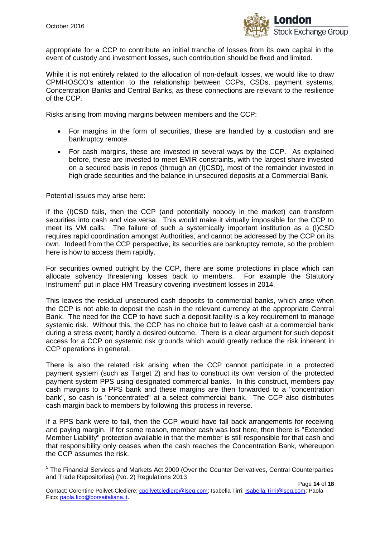

appropriate for a CCP to contribute an initial tranche of losses from its own capital in the event of custody and investment losses, such contribution should be fixed and limited.

While it is not entirely related to the allocation of non-default losses, we would like to draw CPMI-IOSCO's attention to the relationship between CCPs, CSDs, payment systems, Concentration Banks and Central Banks, as these connections are relevant to the resilience of the CCP.

Risks arising from moving margins between members and the CCP:

- For margins in the form of securities, these are handled by a custodian and are bankruptcy remote.
- For cash margins, these are invested in several ways by the CCP. As explained before, these are invested to meet EMIR constraints, with the largest share invested on a secured basis in repos (through an (I)CSD), most of the remainder invested in high grade securities and the balance in unsecured deposits at a Commercial Bank.

Potential issues may arise here:

If the (I)CSD fails, then the CCP (and potentially nobody in the market) can transform securities into cash and vice versa. This would make it virtually impossible for the CCP to meet its VM calls. The failure of such a systemically important institution as a (I)CSD requires rapid coordination amongst Authorities, and cannot be addressed by the CCP on its own. Indeed from the CCP perspective, its securities are bankruptcy remote, so the problem here is how to access them rapidly.

For securities owned outright by the CCP, there are some protections in place which can allocate solvency threatening losses back to members. For example the Statutory Instrument<sup>5</sup> put in place HM Treasury covering investment losses in 2014.

This leaves the residual unsecured cash deposits to commercial banks, which arise when the CCP is not able to deposit the cash in the relevant currency at the appropriate Central Bank. The need for the CCP to have such a deposit facility is a key requirement to manage systemic risk. Without this, the CCP has no choice but to leave cash at a commercial bank during a stress event; hardly a desired outcome. There is a clear argument for such deposit access for a CCP on systemic risk grounds which would greatly reduce the risk inherent in CCP operations in general.

There is also the related risk arising when the CCP cannot participate in a protected payment system (such as Target 2) and has to construct its own version of the protected payment system PPS using designated commercial banks. In this construct, members pay cash margins to a PPS bank and these margins are then forwarded to a "concentration bank", so cash is "concentrated" at a select commercial bank. The CCP also distributes cash margin back to members by following this process in reverse.

If a PPS bank were to fail, then the CCP would have fall back arrangements for receiving and paying margin. If for some reason, member cash was lost here, then there is "Extended Member Liability" protection available in that the member is still responsible for that cash and that responsibility only ceases when the cash reaches the Concentration Bank, whereupon the CCP assumes the risk.

 5 The Financial Services and Markets Act 2000 (Over the Counter Derivatives, Central Counterparties and Trade Repositories) (No. 2) Regulations 2013

Contact: Corentine Poilvet-Clediere: cpoilvetclediere@lseg.com; Isabella Tirri: Isabella.Tirri@lseg.com; Paola Fico: paola.fico@borsaitaliana.it.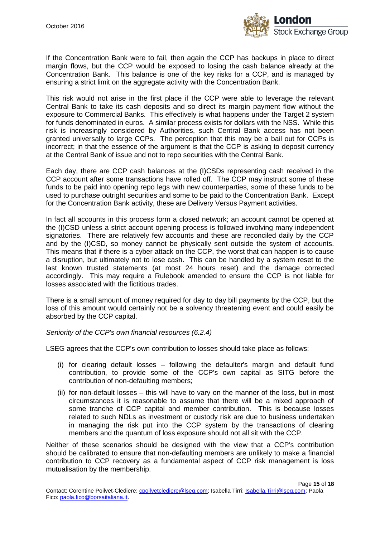

If the Concentration Bank were to fail, then again the CCP has backups in place to direct margin flows, but the CCP would be exposed to losing the cash balance already at the Concentration Bank. This balance is one of the key risks for a CCP, and is managed by ensuring a strict limit on the aggregate activity with the Concentration Bank.

This risk would not arise in the first place if the CCP were able to leverage the relevant Central Bank to take its cash deposits and so direct its margin payment flow without the exposure to Commercial Banks. This effectively is what happens under the Target 2 system for funds denominated in euros. A similar process exists for dollars with the NSS. While this risk is increasingly considered by Authorities, such Central Bank access has not been granted universally to large CCPs. The perception that this may be a bail out for CCPs is incorrect; in that the essence of the argument is that the CCP is asking to deposit currency at the Central Bank of issue and not to repo securities with the Central Bank.

Each day, there are CCP cash balances at the (I)CSDs representing cash received in the CCP account after some transactions have rolled off. The CCP may instruct some of these funds to be paid into opening repo legs with new counterparties, some of these funds to be used to purchase outright securities and some to be paid to the Concentration Bank. Except for the Concentration Bank activity, these are Delivery Versus Payment activities.

In fact all accounts in this process form a closed network; an account cannot be opened at the (I)CSD unless a strict account opening process is followed involving many independent signatories. There are relatively few accounts and these are reconciled daily by the CCP and by the (I)CSD, so money cannot be physically sent outside the system of accounts. This means that if there is a cyber attack on the CCP, the worst that can happen is to cause a disruption, but ultimately not to lose cash. This can be handled by a system reset to the last known trusted statements (at most 24 hours reset) and the damage corrected accordingly. This may require a Rulebook amended to ensure the CCP is not liable for losses associated with the fictitious trades.

There is a small amount of money required for day to day bill payments by the CCP, but the loss of this amount would certainly not be a solvency threatening event and could easily be absorbed by the CCP capital.

*Seniority of the CCP's own financial resources (6.2.4)*

LSEG agrees that the CCP's own contribution to losses should take place as follows:

- (i) for clearing default losses following the defaulter's margin and default fund contribution, to provide some of the CCP's own capital as SITG before the contribution of non-defaulting members;
- (ii) for non-default losses this will have to vary on the manner of the loss, but in most circumstances it is reasonable to assume that there will be a mixed approach of some tranche of CCP capital and member contribution. This is because losses related to such NDLs as investment or custody risk are due to business undertaken in managing the risk put into the CCP system by the transactions of clearing members and the quantum of loss exposure should not all sit with the CCP.

Neither of these scenarios should be designed with the view that a CCP's contribution should be calibrated to ensure that non-defaulting members are unlikely to make a financial contribution to CCP recovery as a fundamental aspect of CCP risk management is loss mutualisation by the membership.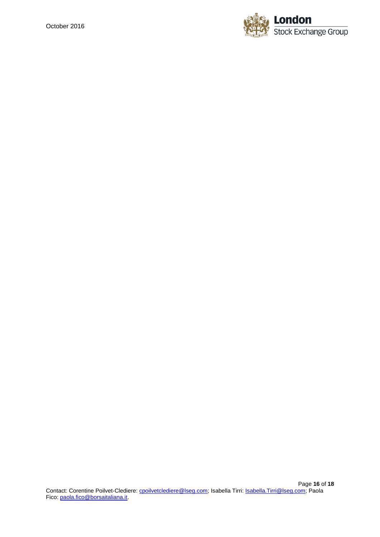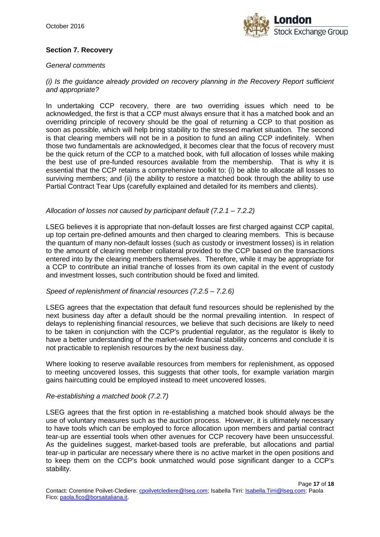

# **Section 7. Recovery**

### *General comments*

## *(i) Is the guidance already provided on recovery planning in the Recovery Report sufficient and appropriate?*

In undertaking CCP recovery, there are two overriding issues which need to be acknowledged, the first is that a CCP must always ensure that it has a matched book and an overriding principle of recovery should be the goal of returning a CCP to that position as soon as possible, which will help bring stability to the stressed market situation. The second is that clearing members will not be in a position to fund an ailing CCP indefinitely. When those two fundamentals are acknowledged, it becomes clear that the focus of recovery must be the quick return of the CCP to a matched book, with full allocation of losses while making the best use of pre-funded resources available from the membership. That is why it is essential that the CCP retains a comprehensive toolkit to: (i) be able to allocate all losses to surviving members; and (ii) the ability to restore a matched book through the ability to use Partial Contract Tear Ups (carefully explained and detailed for its members and clients).

### *Allocation of losses not caused by participant default (7.2.1 – 7.2.2)*

LSEG believes it is appropriate that non-default losses are first charged against CCP capital, up top certain pre-defined amounts and then charged to clearing members. This is because the quantum of many non-default losses (such as custody or investment losses) is in relation to the amount of clearing member collateral provided to the CCP based on the transactions entered into by the clearing members themselves. Therefore, while it may be appropriate for a CCP to contribute an initial tranche of losses from its own capital in the event of custody and investment losses, such contribution should be fixed and limited.

### *Speed of replenishment of financial resources (7.2.5 – 7.2.6)*

LSEG agrees that the expectation that default fund resources should be replenished by the next business day after a default should be the normal prevailing intention. In respect of delays to replenishing financial resources, we believe that such decisions are likely to need to be taken in conjunction with the CCP's prudential regulator, as the regulator is likely to have a better understanding of the market-wide financial stability concerns and conclude it is not practicable to replenish resources by the next business day.

Where looking to reserve available resources from members for replenishment, as opposed to meeting uncovered losses, this suggests that other tools, for example variation margin gains haircutting could be employed instead to meet uncovered losses.

### *Re-establishing a matched book (7.2.7)*

LSEG agrees that the first option in re-establishing a matched book should always be the use of voluntary measures such as the auction process. However, it is ultimately necessary to have tools which can be employed to force allocation upon members and partial contract tear-up are essential tools when other avenues for CCP recovery have been unsuccessful. As the guidelines suggest, market-based tools are preferable, but allocations and partial tear-up in particular are necessary where there is no active market in the open positions and to keep them on the CCP's book unmatched would pose significant danger to a CCP's stability.